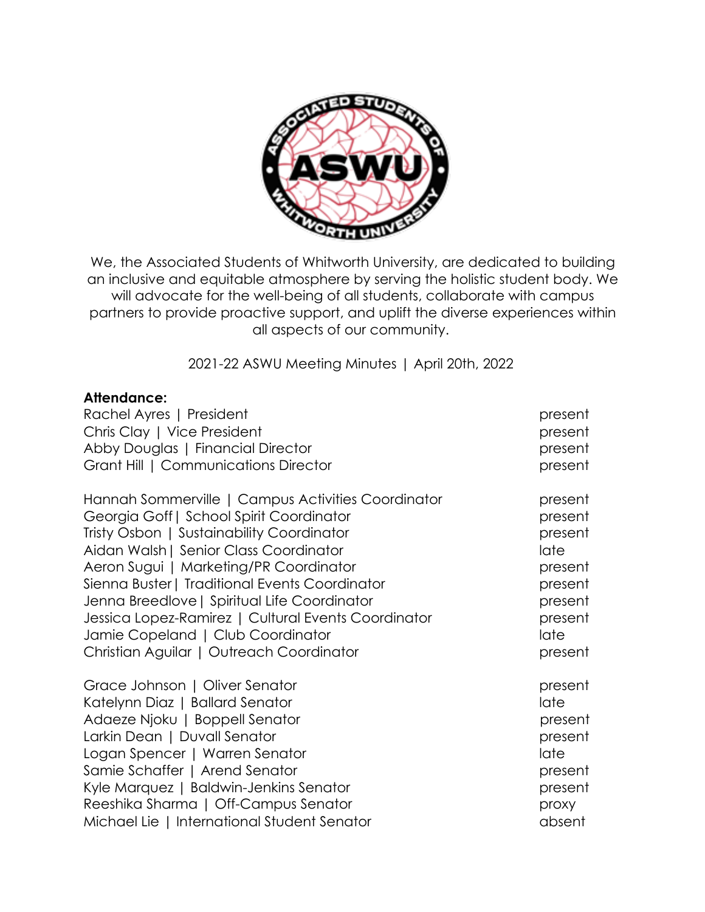

We, the Associated Students of Whitworth University, are dedicated to building an inclusive and equitable atmosphere by serving the holistic student body. We will advocate for the well-being of all students, collaborate with campus partners to provide proactive support, and uplift the diverse experiences within all aspects of our community.

2021-22 ASWU Meeting Minutes | April 20th, 2022

#### **Attendance:**

| Rachel Ayres   President                            | present |
|-----------------------------------------------------|---------|
| Chris Clay   Vice President                         | present |
| Abby Douglas   Financial Director                   | present |
| Grant Hill   Communications Director                | present |
| Hannah Sommerville   Campus Activities Coordinator  | present |
| Georgia Goff   School Spirit Coordinator            | present |
| Tristy Osbon   Sustainability Coordinator           | present |
| Aidan Walsh   Senior Class Coordinator              | late    |
| Aeron Sugui   Marketing/PR Coordinator              | present |
| Sienna Buster   Traditional Events Coordinator      | present |
| Jenna Breedlove   Spiritual Life Coordinator        | present |
| Jessica Lopez-Ramirez   Cultural Events Coordinator | present |
| Jamie Copeland   Club Coordinator                   | late    |
| Christian Aguilar   Outreach Coordinator            | present |
| Grace Johnson   Oliver Senator                      | present |
| Katelynn Diaz   Ballard Senator                     | late    |
| Adaeze Njoku   Boppell Senator                      | present |
| Larkin Dean   Duvall Senator                        | present |
| Logan Spencer   Warren Senator                      | late    |
| Samie Schaffer   Arend Senator                      | present |
| Kyle Marquez   Baldwin-Jenkins Senator              | present |
| Reeshika Sharma   Off-Campus Senator                | proxy   |
| Michael Lie   International Student Senator         | absent  |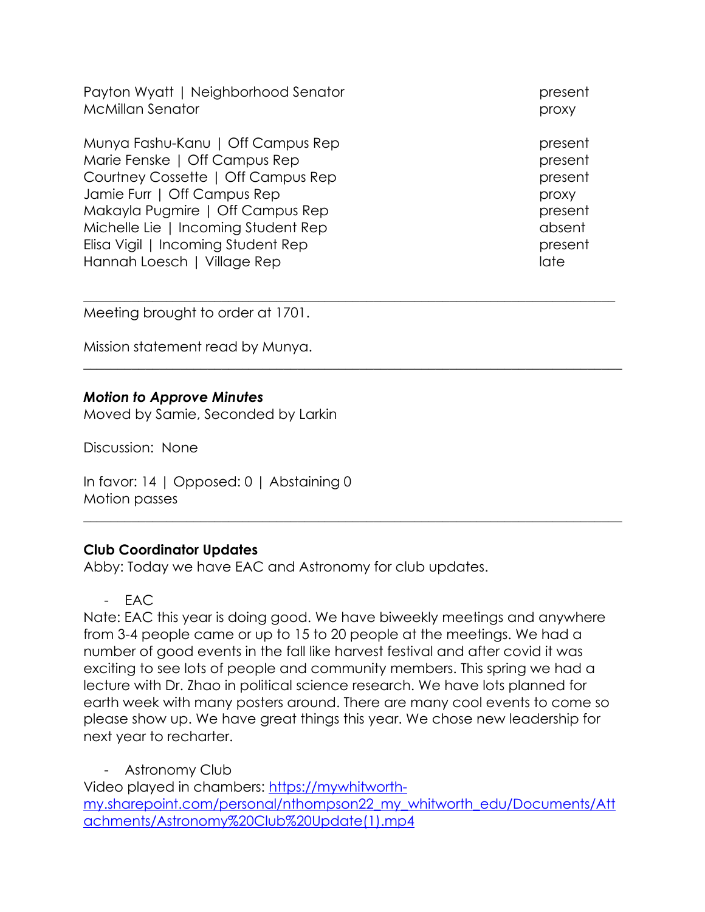Payton Wyatt | Neighborhood Senator present present McMillan Senator **proxy** 

Munya Fashu-Kanu | Off Campus Rep present present Marie Fenske | Off Campus Rep present Courtney Cossette | Off Campus Rep present Jamie Furr | Off Campus Rep proxy Makayla Pugmire | Off Campus Rep present Michelle Lie | Incoming Student Rep absent Elisa Vigil | Incoming Student Rep present present Hannah Loesch | Village Rep late late late late

Meeting brought to order at 1701.

Mission statement read by Munya.

#### *Motion to Approve Minutes*

Moved by Samie, Seconded by Larkin

Discussion: None

In favor: 14 | Opposed: 0 | Abstaining 0 Motion passes

#### **Club Coordinator Updates**

Abby: Today we have EAC and Astronomy for club updates.

- EAC

Nate: EAC this year is doing good. We have biweekly meetings and anywhere from 3-4 people came or up to 15 to 20 people at the meetings. We had a number of good events in the fall like harvest festival and after covid it was exciting to see lots of people and community members. This spring we had a lecture with Dr. Zhao in political science research. We have lots planned for earth week with many posters around. There are many cool events to come so please show up. We have great things this year. We chose new leadership for next year to recharter.

\_\_\_\_\_\_\_\_\_\_\_\_\_\_\_\_\_\_\_\_\_\_\_\_\_\_\_\_\_\_\_\_\_\_\_\_\_\_\_\_\_\_\_\_\_\_\_\_\_\_\_\_\_\_\_\_\_\_\_\_\_\_\_\_\_\_\_\_\_\_\_\_\_\_\_\_\_

 $\_$  , and the set of the set of the set of the set of the set of the set of the set of the set of the set of the set of the set of the set of the set of the set of the set of the set of the set of the set of the set of th

\_\_\_\_\_\_\_\_\_\_\_\_\_\_\_\_\_\_\_\_\_\_\_\_\_\_\_\_\_\_\_\_\_\_\_\_\_\_\_\_\_\_\_\_\_\_\_\_\_\_\_\_\_\_\_\_\_\_\_\_\_\_\_\_\_\_\_\_\_\_\_\_\_\_\_\_\_\_

- Astronomy Club

Video played in chambers: https://mywhitworthmy.sharepoint.com/personal/nthompson22\_my\_whitworth\_edu/Documents/Att achments/Astronomy%20Club%20Update(1).mp4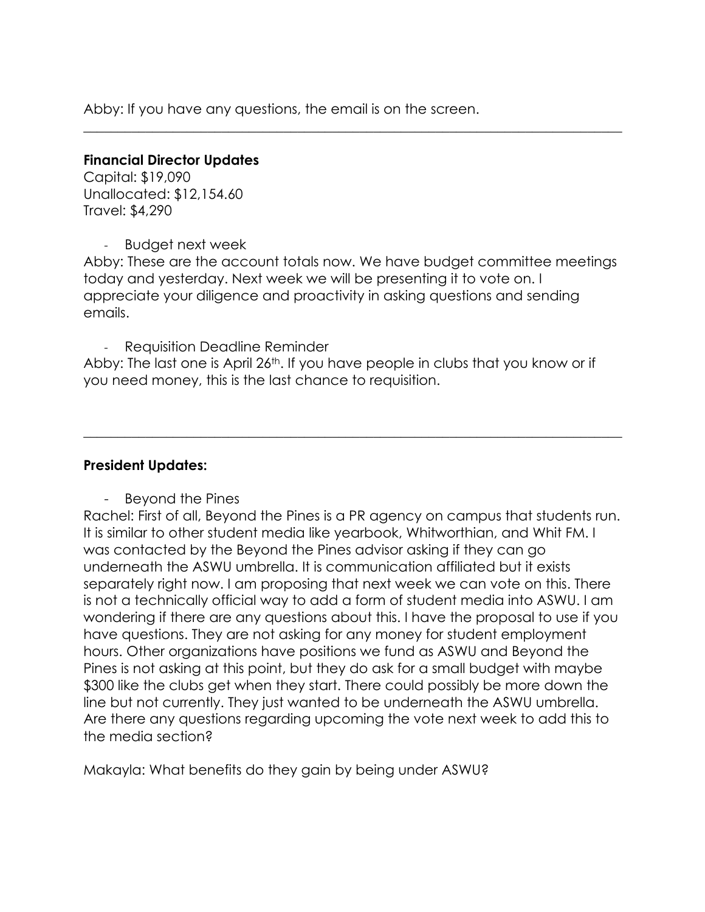Abby: If you have any questions, the email is on the screen.

#### **Financial Director Updates**

Capital: \$19,090 Unallocated: \$12,154.60 Travel: \$4,290

- Budget next week

Abby: These are the account totals now. We have budget committee meetings today and yesterday. Next week we will be presenting it to vote on. I appreciate your diligence and proactivity in asking questions and sending emails.

 $\_$  , and the set of the set of the set of the set of the set of the set of the set of the set of the set of the set of the set of the set of the set of the set of the set of the set of the set of the set of the set of th

- Requisition Deadline Reminder

Abby: The last one is April 26<sup>th</sup>. If you have people in clubs that you know or if you need money, this is the last chance to requisition.

 $\_$  , and the set of the set of the set of the set of the set of the set of the set of the set of the set of the set of the set of the set of the set of the set of the set of the set of the set of the set of the set of th

## **President Updates:**

- Beyond the Pines

Rachel: First of all, Beyond the Pines is a PR agency on campus that students run. It is similar to other student media like yearbook, Whitworthian, and Whit FM. I was contacted by the Beyond the Pines advisor asking if they can go underneath the ASWU umbrella. It is communication affiliated but it exists separately right now. I am proposing that next week we can vote on this. There is not a technically official way to add a form of student media into ASWU. I am wondering if there are any questions about this. I have the proposal to use if you have questions. They are not asking for any money for student employment hours. Other organizations have positions we fund as ASWU and Beyond the Pines is not asking at this point, but they do ask for a small budget with maybe \$300 like the clubs get when they start. There could possibly be more down the line but not currently. They just wanted to be underneath the ASWU umbrella. Are there any questions regarding upcoming the vote next week to add this to the media section?

Makayla: What benefits do they gain by being under ASWU?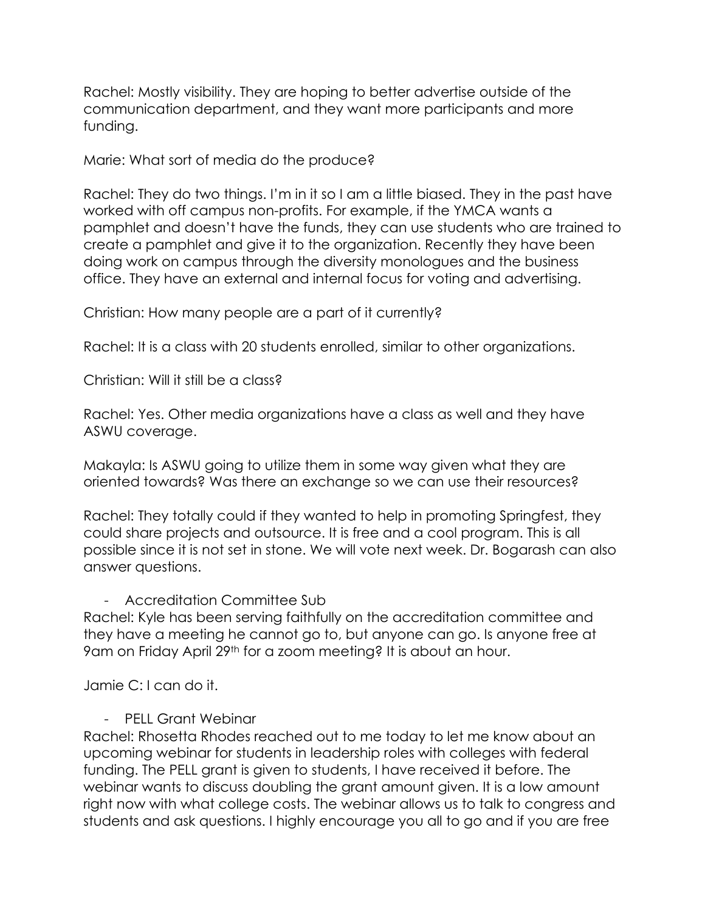Rachel: Mostly visibility. They are hoping to better advertise outside of the communication department, and they want more participants and more funding.

Marie: What sort of media do the produce?

Rachel: They do two things. I'm in it so I am a little biased. They in the past have worked with off campus non-profits. For example, if the YMCA wants a pamphlet and doesn't have the funds, they can use students who are trained to create a pamphlet and give it to the organization. Recently they have been doing work on campus through the diversity monologues and the business office. They have an external and internal focus for voting and advertising.

Christian: How many people are a part of it currently?

Rachel: It is a class with 20 students enrolled, similar to other organizations.

Christian: Will it still be a class?

Rachel: Yes. Other media organizations have a class as well and they have ASWU coverage.

Makayla: Is ASWU going to utilize them in some way given what they are oriented towards? Was there an exchange so we can use their resources?

Rachel: They totally could if they wanted to help in promoting Springfest, they could share projects and outsource. It is free and a cool program. This is all possible since it is not set in stone. We will vote next week. Dr. Bogarash can also answer questions.

## - Accreditation Committee Sub

Rachel: Kyle has been serving faithfully on the accreditation committee and they have a meeting he cannot go to, but anyone can go. Is anyone free at 9am on Friday April 29th for a zoom meeting? It is about an hour.

Jamie C: I can do it.

- PELL Grant Webinar

Rachel: Rhosetta Rhodes reached out to me today to let me know about an upcoming webinar for students in leadership roles with colleges with federal funding. The PELL grant is given to students, I have received it before. The webinar wants to discuss doubling the grant amount given. It is a low amount right now with what college costs. The webinar allows us to talk to congress and students and ask questions. I highly encourage you all to go and if you are free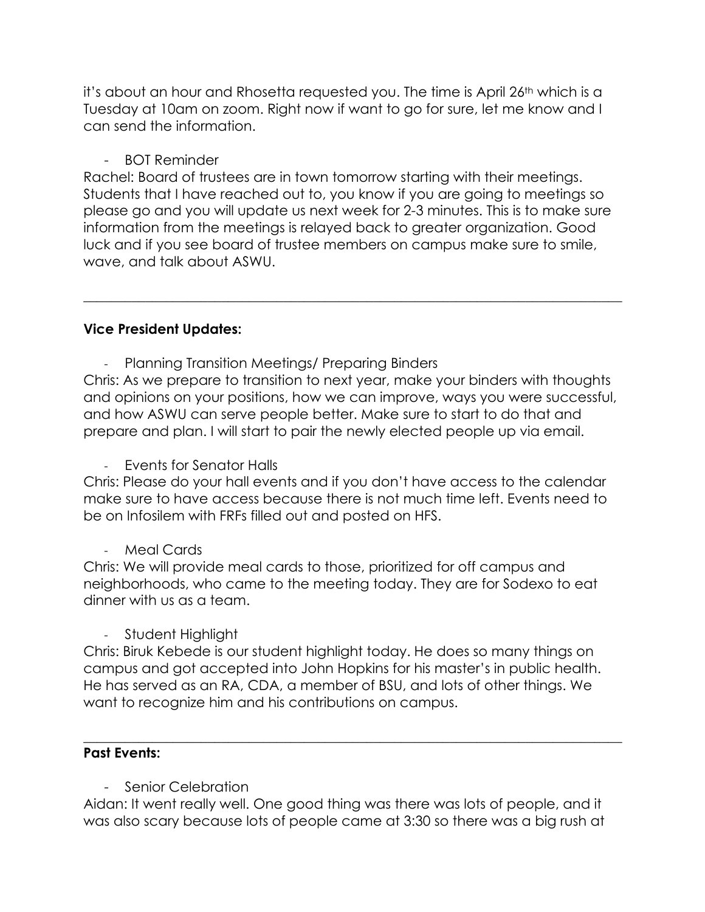it's about an hour and Rhosetta requested you. The time is April 26th which is a Tuesday at 10am on zoom. Right now if want to go for sure, let me know and I can send the information.

# - BOT Reminder

Rachel: Board of trustees are in town tomorrow starting with their meetings. Students that I have reached out to, you know if you are going to meetings so please go and you will update us next week for 2-3 minutes. This is to make sure information from the meetings is relayed back to greater organization. Good luck and if you see board of trustee members on campus make sure to smile, wave, and talk about ASWU.

\_\_\_\_\_\_\_\_\_\_\_\_\_\_\_\_\_\_\_\_\_\_\_\_\_\_\_\_\_\_\_\_\_\_\_\_\_\_\_\_\_\_\_\_\_\_\_\_\_\_\_\_\_\_\_\_\_\_\_\_\_\_\_\_\_\_\_\_\_\_\_\_\_\_\_\_\_\_

# **Vice President Updates:**

- Planning Transition Meetings/ Preparing Binders

Chris: As we prepare to transition to next year, make your binders with thoughts and opinions on your positions, how we can improve, ways you were successful, and how ASWU can serve people better. Make sure to start to do that and prepare and plan. I will start to pair the newly elected people up via email.

- Events for Senator Halls

Chris: Please do your hall events and if you don't have access to the calendar make sure to have access because there is not much time left. Events need to be on Infosilem with FRFs filled out and posted on HFS.

Meal Cards

Chris: We will provide meal cards to those, prioritized for off campus and neighborhoods, who came to the meeting today. They are for Sodexo to eat dinner with us as a team.

- Student Highlight

Chris: Biruk Kebede is our student highlight today. He does so many things on campus and got accepted into John Hopkins for his master's in public health. He has served as an RA, CDA, a member of BSU, and lots of other things. We want to recognize him and his contributions on campus.

\_\_\_\_\_\_\_\_\_\_\_\_\_\_\_\_\_\_\_\_\_\_\_\_\_\_\_\_\_\_\_\_\_\_\_\_\_\_\_\_\_\_\_\_\_\_\_\_\_\_\_\_\_\_\_\_\_\_\_\_\_\_\_\_\_\_\_\_\_\_\_\_\_\_\_\_\_\_

## **Past Events:**

Senior Celebration

Aidan: It went really well. One good thing was there was lots of people, and it was also scary because lots of people came at 3:30 so there was a big rush at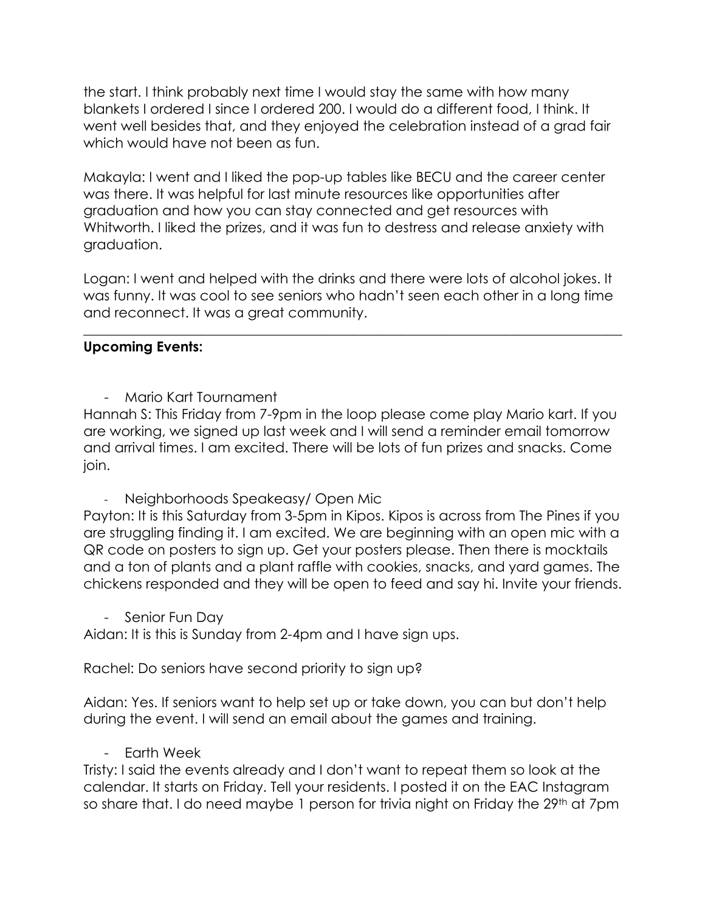the start. I think probably next time I would stay the same with how many blankets I ordered I since I ordered 200. I would do a different food, I think. It went well besides that, and they enjoyed the celebration instead of a grad fair which would have not been as fun.

Makayla: I went and I liked the pop-up tables like BECU and the career center was there. It was helpful for last minute resources like opportunities after graduation and how you can stay connected and get resources with Whitworth. I liked the prizes, and it was fun to destress and release anxiety with graduation.

Logan: I went and helped with the drinks and there were lots of alcohol jokes. It was funny. It was cool to see seniors who hadn't seen each other in a long time and reconnect. It was a great community.

\_\_\_\_\_\_\_\_\_\_\_\_\_\_\_\_\_\_\_\_\_\_\_\_\_\_\_\_\_\_\_\_\_\_\_\_\_\_\_\_\_\_\_\_\_\_\_\_\_\_\_\_\_\_\_\_\_\_\_\_\_\_\_\_\_\_\_\_\_\_\_\_\_\_\_\_\_\_

# **Upcoming Events:**

- Mario Kart Tournament

Hannah S: This Friday from 7-9pm in the loop please come play Mario kart. If you are working, we signed up last week and I will send a reminder email tomorrow and arrival times. I am excited. There will be lots of fun prizes and snacks. Come join.

- Neighborhoods Speakeasy/ Open Mic

Payton: It is this Saturday from 3-5pm in Kipos. Kipos is across from The Pines if you are struggling finding it. I am excited. We are beginning with an open mic with a QR code on posters to sign up. Get your posters please. Then there is mocktails and a ton of plants and a plant raffle with cookies, snacks, and yard games. The chickens responded and they will be open to feed and say hi. Invite your friends.

Senior Fun Day

Aidan: It is this is Sunday from 2-4pm and I have sign ups.

Rachel: Do seniors have second priority to sign up?

Aidan: Yes. If seniors want to help set up or take down, you can but don't help during the event. I will send an email about the games and training.

- Earth Week

Tristy: I said the events already and I don't want to repeat them so look at the calendar. It starts on Friday. Tell your residents. I posted it on the EAC Instagram so share that. I do need maybe 1 person for trivia night on Friday the 29<sup>th</sup> at 7pm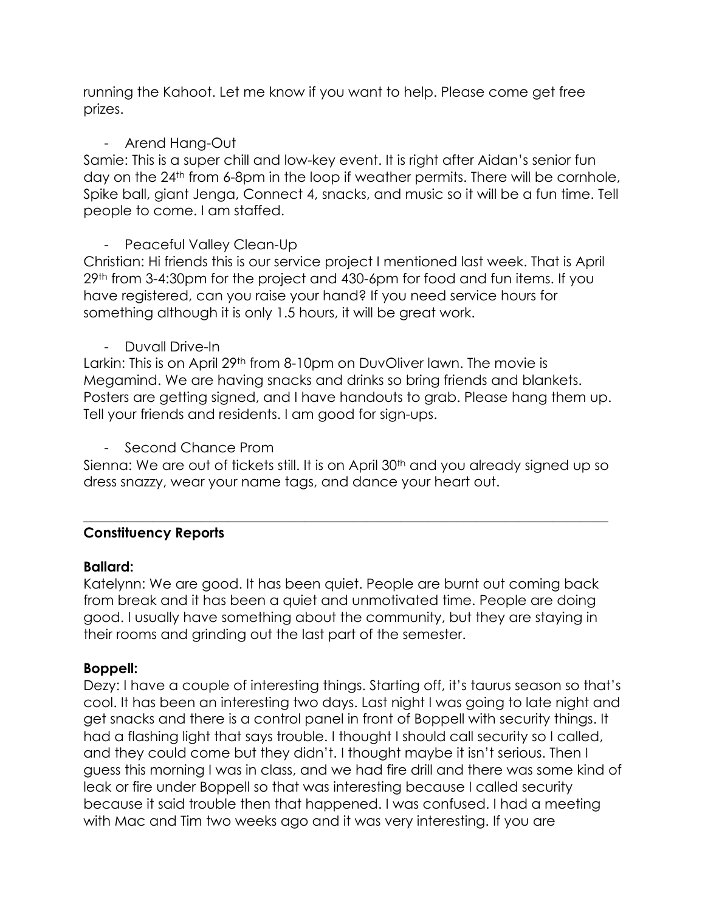running the Kahoot. Let me know if you want to help. Please come get free prizes.

# - Arend Hang-Out

Samie: This is a super chill and low-key event. It is right after Aidan's senior fun day on the 24<sup>th</sup> from 6-8pm in the loop if weather permits. There will be cornhole, Spike ball, giant Jenga, Connect 4, snacks, and music so it will be a fun time. Tell people to come. I am staffed.

# - Peaceful Valley Clean-Up

Christian: Hi friends this is our service project I mentioned last week. That is April 29th from 3-4:30pm for the project and 430-6pm for food and fun items. If you have registered, can you raise your hand? If you need service hours for something although it is only 1.5 hours, it will be great work.

- Duvall Drive-In

Larkin: This is on April 29<sup>th</sup> from 8-10pm on DuvOliver lawn. The movie is Megamind. We are having snacks and drinks so bring friends and blankets. Posters are getting signed, and I have handouts to grab. Please hang them up. Tell your friends and residents. I am good for sign-ups.

Second Chance Prom

Sienna: We are out of tickets still. It is on April 30<sup>th</sup> and you already signed up so dress snazzy, wear your name tags, and dance your heart out.

\_\_\_\_\_\_\_\_\_\_\_\_\_\_\_\_\_\_\_\_\_\_\_\_\_\_\_\_\_\_\_\_\_\_\_\_\_\_\_\_\_\_\_\_\_\_\_\_\_\_\_\_\_\_\_\_\_\_\_\_\_\_\_\_\_\_\_\_\_\_\_\_\_\_\_\_

# **Constituency Reports**

## **Ballard:**

Katelynn: We are good. It has been quiet. People are burnt out coming back from break and it has been a quiet and unmotivated time. People are doing good. I usually have something about the community, but they are staying in their rooms and grinding out the last part of the semester.

# **Boppell:**

Dezy: I have a couple of interesting things. Starting off, it's taurus season so that's cool. It has been an interesting two days. Last night I was going to late night and get snacks and there is a control panel in front of Boppell with security things. It had a flashing light that says trouble. I thought I should call security so I called, and they could come but they didn't. I thought maybe it isn't serious. Then I guess this morning I was in class, and we had fire drill and there was some kind of leak or fire under Boppell so that was interesting because I called security because it said trouble then that happened. I was confused. I had a meeting with Mac and Tim two weeks ago and it was very interesting. If you are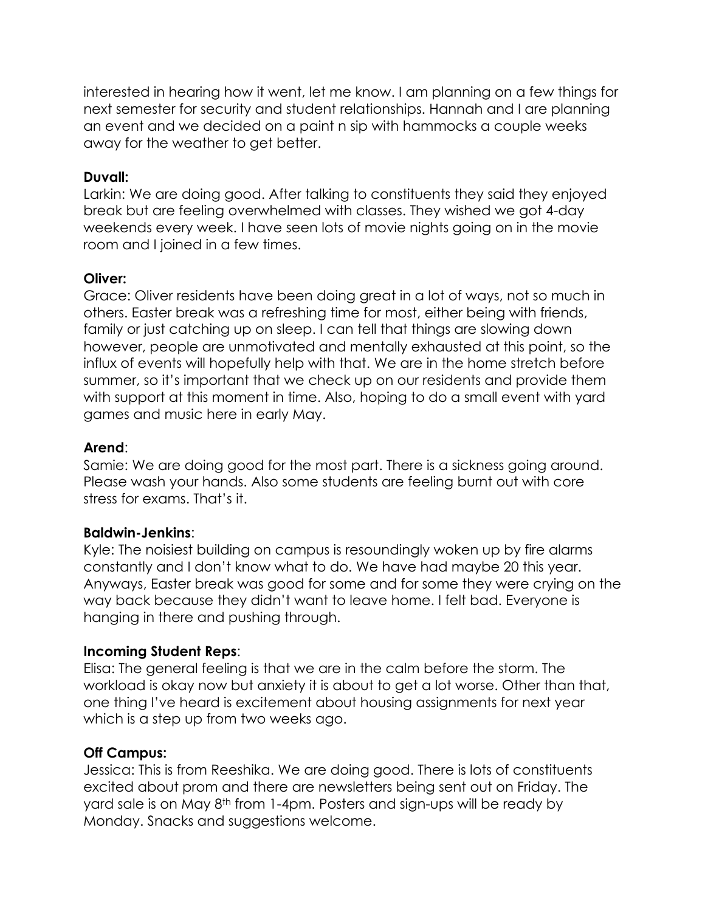interested in hearing how it went, let me know. I am planning on a few things for next semester for security and student relationships. Hannah and I are planning an event and we decided on a paint n sip with hammocks a couple weeks away for the weather to get better.

### **Duvall:**

Larkin: We are doing good. After talking to constituents they said they enjoyed break but are feeling overwhelmed with classes. They wished we got 4-day weekends every week. I have seen lots of movie nights going on in the movie room and I joined in a few times.

## **Oliver:**

Grace: Oliver residents have been doing great in a lot of ways, not so much in others. Easter break was a refreshing time for most, either being with friends, family or just catching up on sleep. I can tell that things are slowing down however, people are unmotivated and mentally exhausted at this point, so the influx of events will hopefully help with that. We are in the home stretch before summer, so it's important that we check up on our residents and provide them with support at this moment in time. Also, hoping to do a small event with yard games and music here in early May.

## **Arend**:

Samie: We are doing good for the most part. There is a sickness going around. Please wash your hands. Also some students are feeling burnt out with core stress for exams. That's it.

#### **Baldwin-Jenkins**:

Kyle: The noisiest building on campus is resoundingly woken up by fire alarms constantly and I don't know what to do. We have had maybe 20 this year. Anyways, Easter break was good for some and for some they were crying on the way back because they didn't want to leave home. I felt bad. Everyone is hanging in there and pushing through.

## **Incoming Student Reps**:

Elisa: The general feeling is that we are in the calm before the storm. The workload is okay now but anxiety it is about to get a lot worse. Other than that, one thing I've heard is excitement about housing assignments for next year which is a step up from two weeks ago.

## **Off Campus:**

Jessica: This is from Reeshika. We are doing good. There is lots of constituents excited about prom and there are newsletters being sent out on Friday. The yard sale is on May 8th from 1-4pm. Posters and sign-ups will be ready by Monday. Snacks and suggestions welcome.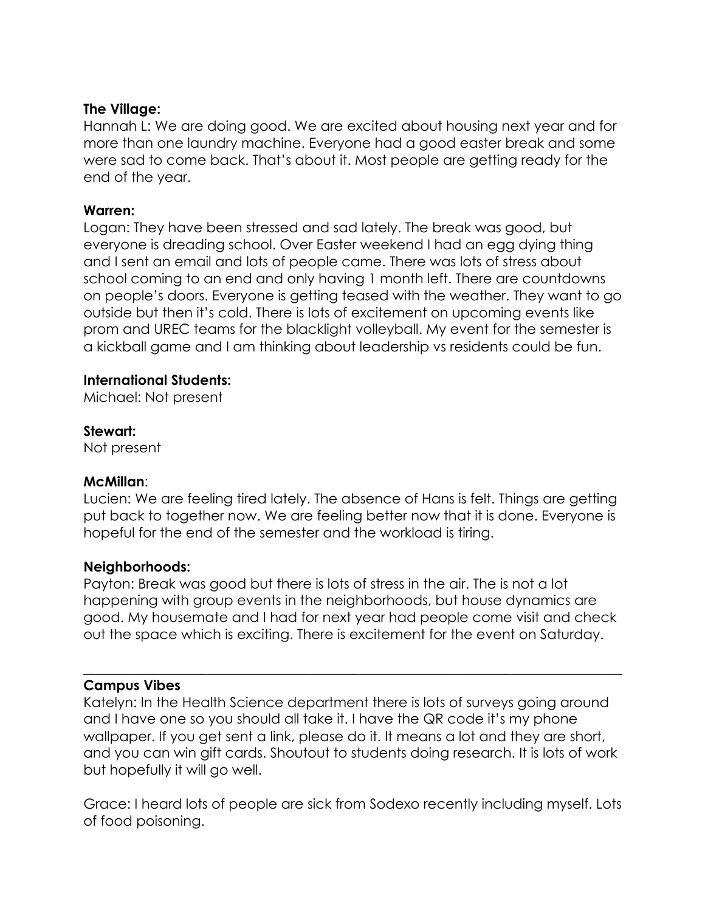### **The Village:**

Hannah L: We are doing good. We are excited about housing next year and for more than one laundry machine. Everyone had a good easter break and some were sad to come back. That's about it. Most people are getting ready for the end of the year.

#### **Warren:**

Logan: They have been stressed and sad lately. The break was good, but everyone is dreading school. Over Easter weekend I had an egg dying thing and I sent an email and lots of people came. There was lots of stress about school coming to an end and only having 1 month left. There are countdowns on people's doors. Everyone is getting teased with the weather. They want to go outside but then it's cold. There is lots of excitement on upcoming events like prom and UREC teams for the blacklight volleyball. My event for the semester is a kickball game and I am thinking about leadership vs residents could be fun.

#### **International Students:**

Michael: Not present

## **Stewart:**

Not present

#### **McMillan**:

Lucien: We are feeling tired lately. The absence of Hans is felt. Things are getting put back to together now. We are feeling better now that it is done. Everyone is hopeful for the end of the semester and the workload is tiring.

#### **Neighborhoods:**

Payton: Break was good but there is lots of stress in the air. The is not a lot happening with group events in the neighborhoods, but house dynamics are good. My housemate and I had for next year had people come visit and check out the space which is exciting. There is excitement for the event on Saturday.

 $\_$  , and the set of the set of the set of the set of the set of the set of the set of the set of the set of the set of the set of the set of the set of the set of the set of the set of the set of the set of the set of th

#### **Campus Vibes**

Katelyn: In the Health Science department there is lots of surveys going around and I have one so you should all take it. I have the QR code it's my phone wallpaper. If you get sent a link, please do it. It means a lot and they are short, and you can win gift cards. Shoutout to students doing research. It is lots of work but hopefully it will go well.

Grace: I heard lots of people are sick from Sodexo recently including myself. Lots of food poisoning.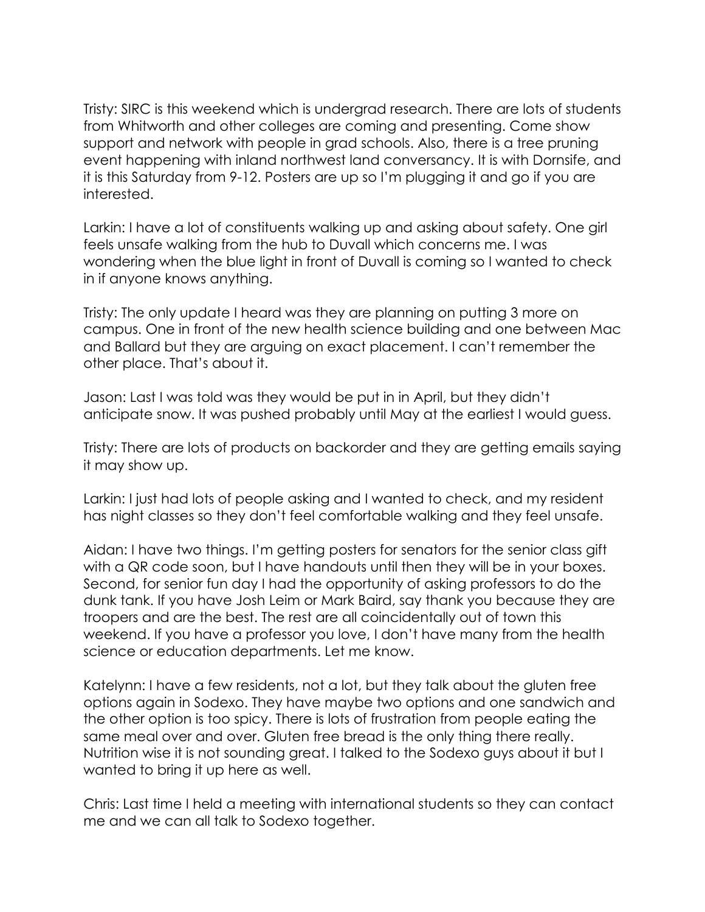Tristy: SIRC is this weekend which is undergrad research. There are lots of students from Whitworth and other colleges are coming and presenting. Come show support and network with people in grad schools. Also, there is a tree pruning event happening with inland northwest land conversancy. It is with Dornsife, and it is this Saturday from 9-12. Posters are up so I'm plugging it and go if you are interested.

Larkin: I have a lot of constituents walking up and asking about safety. One girl feels unsafe walking from the hub to Duvall which concerns me. I was wondering when the blue light in front of Duvall is coming so I wanted to check in if anyone knows anything.

Tristy: The only update I heard was they are planning on putting 3 more on campus. One in front of the new health science building and one between Mac and Ballard but they are arguing on exact placement. I can't remember the other place. That's about it.

Jason: Last I was told was they would be put in in April, but they didn't anticipate snow. It was pushed probably until May at the earliest I would guess.

Tristy: There are lots of products on backorder and they are getting emails saying it may show up.

Larkin: I just had lots of people asking and I wanted to check, and my resident has night classes so they don't feel comfortable walking and they feel unsafe.

Aidan: I have two things. I'm getting posters for senators for the senior class gift with a QR code soon, but I have handouts until then they will be in your boxes. Second, for senior fun day I had the opportunity of asking professors to do the dunk tank. If you have Josh Leim or Mark Baird, say thank you because they are troopers and are the best. The rest are all coincidentally out of town this weekend. If you have a professor you love, I don't have many from the health science or education departments. Let me know.

Katelynn: I have a few residents, not a lot, but they talk about the gluten free options again in Sodexo. They have maybe two options and one sandwich and the other option is too spicy. There is lots of frustration from people eating the same meal over and over. Gluten free bread is the only thing there really. Nutrition wise it is not sounding great. I talked to the Sodexo guys about it but I wanted to bring it up here as well.

Chris: Last time I held a meeting with international students so they can contact me and we can all talk to Sodexo together.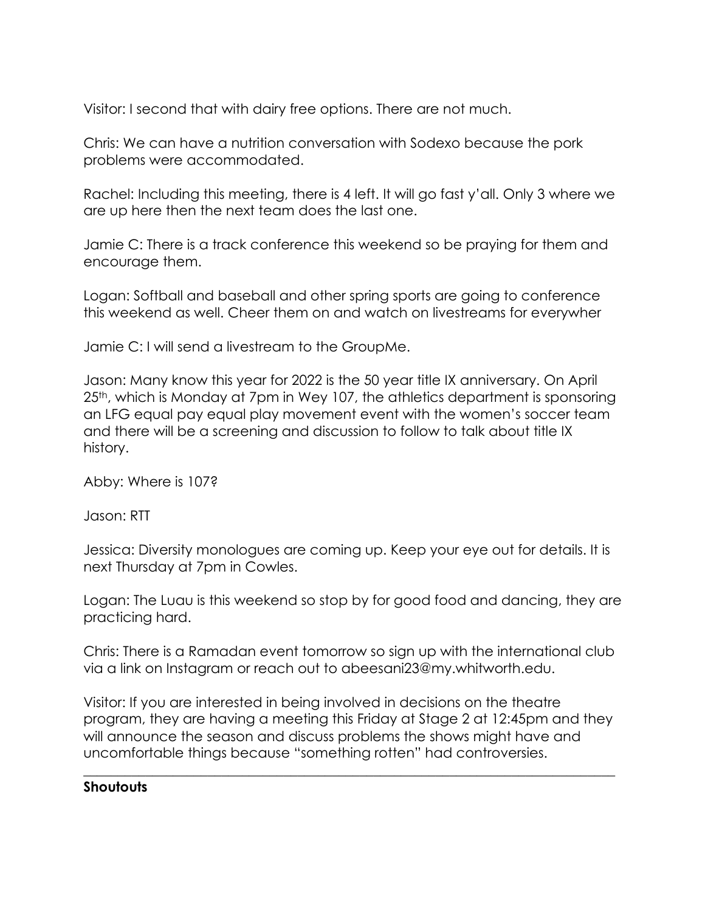Visitor: I second that with dairy free options. There are not much.

Chris: We can have a nutrition conversation with Sodexo because the pork problems were accommodated.

Rachel: Including this meeting, there is 4 left. It will go fast y'all. Only 3 where we are up here then the next team does the last one.

Jamie C: There is a track conference this weekend so be praying for them and encourage them.

Logan: Softball and baseball and other spring sports are going to conference this weekend as well. Cheer them on and watch on livestreams for everywher

Jamie C: I will send a livestream to the GroupMe.

Jason: Many know this year for 2022 is the 50 year title IX anniversary. On April 25<sup>th</sup>, which is Monday at 7pm in Wey 107, the athletics department is sponsoring an LFG equal pay equal play movement event with the women's soccer team and there will be a screening and discussion to follow to talk about title IX history.

Abby: Where is 107?

Jason: RTT

Jessica: Diversity monologues are coming up. Keep your eye out for details. It is next Thursday at 7pm in Cowles.

Logan: The Luau is this weekend so stop by for good food and dancing, they are practicing hard.

Chris: There is a Ramadan event tomorrow so sign up with the international club via a link on Instagram or reach out to abeesani23@my.whitworth.edu.

Visitor: If you are interested in being involved in decisions on the theatre program, they are having a meeting this Friday at Stage 2 at 12:45pm and they will announce the season and discuss problems the shows might have and uncomfortable things because "something rotten" had controversies.

 $\_$  , and the set of the set of the set of the set of the set of the set of the set of the set of the set of the set of the set of the set of the set of the set of the set of the set of the set of the set of the set of th

## **Shoutouts**